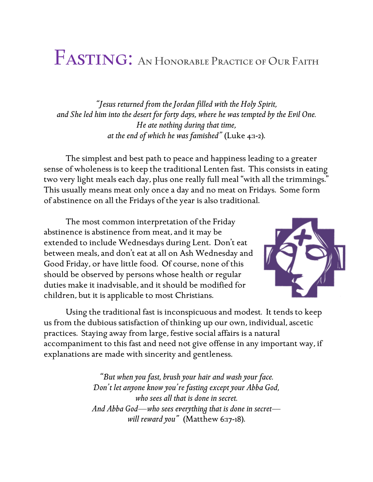## FASTING: AN HONORABLE PRACTICE OF OUR FAITH

*"Jesus returned from the Jordan filled with the Holy Spirit, and She led him into the desert for forty days, where he was tempted by the Evil One. He ate nothing during that time, at the end of which he was famished"* (Luke 4:1-2).

The simplest and best path to peace and happiness leading to a greater sense of wholeness is to keep the traditional Lenten fast. This consists in eating two very light meals each day, plus one really full meal "with all the trimmings." This usually means meat only once a day and no meat on Fridays. Some form of abstinence on all the Fridays of the year is also traditional.

The most common interpretation of the Friday abstinence is abstinence from meat, and it may be extended to include Wednesdays during Lent. Don't eat between meals, and don't eat at all on Ash Wednesday and Good Friday, or have little food. Of course, none of this should be observed by persons whose health or regular duties make it inadvisable, and it should be modified for children, but it is applicable to most Christians.



Using the traditional fast is inconspicuous and modest*.* It tends to keep us from the dubious satisfaction of thinking up our own, individual, ascetic practices. Staying away from large, festive social affairs is a natural accompaniment to this fast and need not give offense in any important way, if explanations are made with sincerity and gentleness.

> *"But when you fast, brush your hair and wash your face. Don't let anyone know you're fasting except your Abba God, who sees all that is done in secret. And Abba God—who sees everything that is done in secret will reward you"* (Matthew 6:17-18).